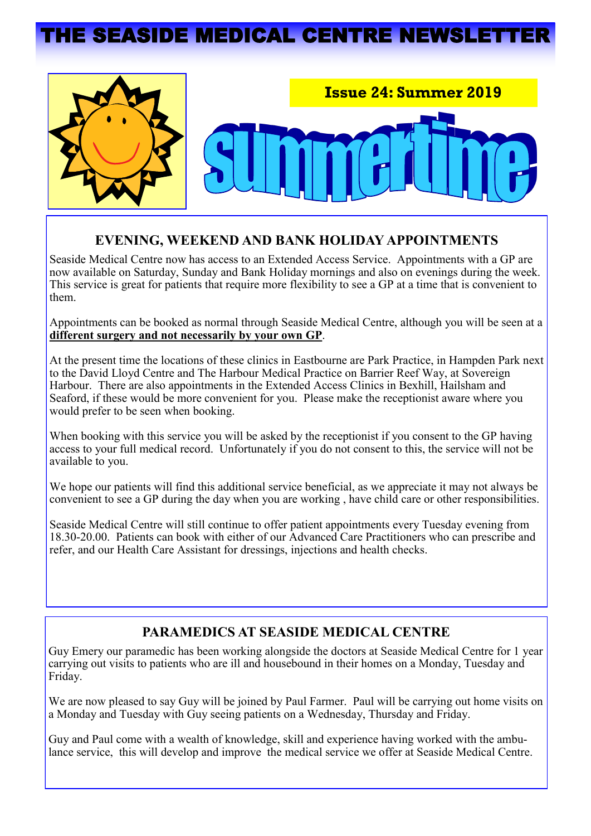# IE SEASIDE MEDICAL CENTRE NEWSLET



# **EVENING, WEEKEND AND BANK HOLIDAY APPOINTMENTS**

Seaside Medical Centre now has access to an Extended Access Service. Appointments with a GP are now available on Saturday, Sunday and Bank Holiday mornings and also on evenings during the week. This service is great for patients that require more flexibility to see a GP at a time that is convenient to them.

Appointments can be booked as normal through Seaside Medical Centre, although you will be seen at a **different surgery and not necessarily by your own GP**.

At the present time the locations of these clinics in Eastbourne are Park Practice, in Hampden Park next to the David Lloyd Centre and The Harbour Medical Practice on Barrier Reef Way, at Sovereign Harbour. There are also appointments in the Extended Access Clinics in Bexhill, Hailsham and Seaford, if these would be more convenient for you. Please make the receptionist aware where you would prefer to be seen when booking.

When booking with this service you will be asked by the receptionist if you consent to the GP having access to your full medical record. Unfortunately if you do not consent to this, the service will not be available to you.

We hope our patients will find this additional service beneficial, as we appreciate it may not always be convenient to see a GP during the day when you are working , have child care or other responsibilities.

Seaside Medical Centre will still continue to offer patient appointments every Tuesday evening from 18.30-20.00. Patients can book with either of our Advanced Care Practitioners who can prescribe and refer, and our Health Care Assistant for dressings, injections and health checks.

# **PARAMEDICS AT SEASIDE MEDICAL CENTRE**

Guy Emery our paramedic has been working alongside the doctors at Seaside Medical Centre for 1 year carrying out visits to patients who are ill and housebound in their homes on a Monday, Tuesday and Friday.

We are now pleased to say Guy will be joined by Paul Farmer. Paul will be carrying out home visits on a Monday and Tuesday with Guy seeing patients on a Wednesday, Thursday and Friday.

Guy and Paul come with a wealth of knowledge, skill and experience having worked with the ambulance service, this will develop and improve the medical service we offer at Seaside Medical Centre.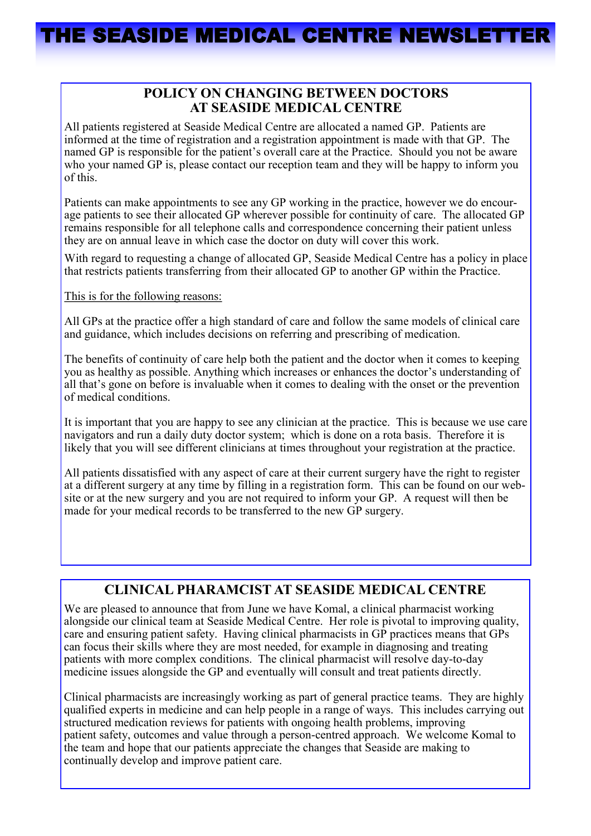### **POLICY ON CHANGING BETWEEN DOCTORS AT SEASIDE MEDICAL CENTRE**

All patients registered at Seaside Medical Centre are allocated a named GP. Patients are informed at the time of registration and a registration appointment is made with that GP. The named GP is responsible for the patient's overall care at the Practice. Should you not be aware who your named GP is, please contact our reception team and they will be happy to inform you of this.

Patients can make appointments to see any GP working in the practice, however we do encourage patients to see their allocated GP wherever possible for continuity of care. The allocated GP remains responsible for all telephone calls and correspondence concerning their patient unless they are on annual leave in which case the doctor on duty will cover this work.

With regard to requesting a change of allocated GP, Seaside Medical Centre has a policy in place that restricts patients transferring from their allocated GP to another GP within the Practice.

This is for the following reasons:

All GPs at the practice offer a high standard of care and follow the same models of clinical care and guidance, which includes decisions on referring and prescribing of medication.

The benefits of continuity of care help both the patient and the doctor when it comes to keeping you as healthy as possible. Anything which increases or enhances the doctor's understanding of all that's gone on before is invaluable when it comes to dealing with the onset or the prevention of medical conditions.

It is important that you are happy to see any clinician at the practice. This is because we use care navigators and run a daily duty doctor system; which is done on a rota basis. Therefore it is likely that you will see different clinicians at times throughout your registration at the practice.

All patients dissatisfied with any aspect of care at their current surgery have the right to register at a different surgery at any time by filling in a registration form. This can be found on our website or at the new surgery and you are not required to inform your GP. A request will then be made for your medical records to be transferred to the new GP surgery.

# **CLINICAL PHARAMCIST AT SEASIDE MEDICAL CENTRE**

We are pleased to announce that from June we have Komal, a clinical pharmacist working alongside our clinical team at Seaside Medical Centre. Her role is pivotal to improving quality, care and ensuring patient safety. Having clinical pharmacists in GP practices means that GPs can focus their skills where they are most needed, for example in diagnosing and treating patients with more complex conditions. The clinical pharmacist will resolve day-to-day medicine issues alongside the GP and eventually will consult and treat patients directly.

Clinical pharmacists are increasingly working as part of general practice teams. They are highly qualified experts in medicine and can help people in a range of ways. This includes carrying out structured medication reviews for patients with ongoing health problems, improving patient safety, outcomes and value through a person-centred approach. We welcome Komal to the team and hope that our patients appreciate the changes that Seaside are making to continually develop and improve patient care.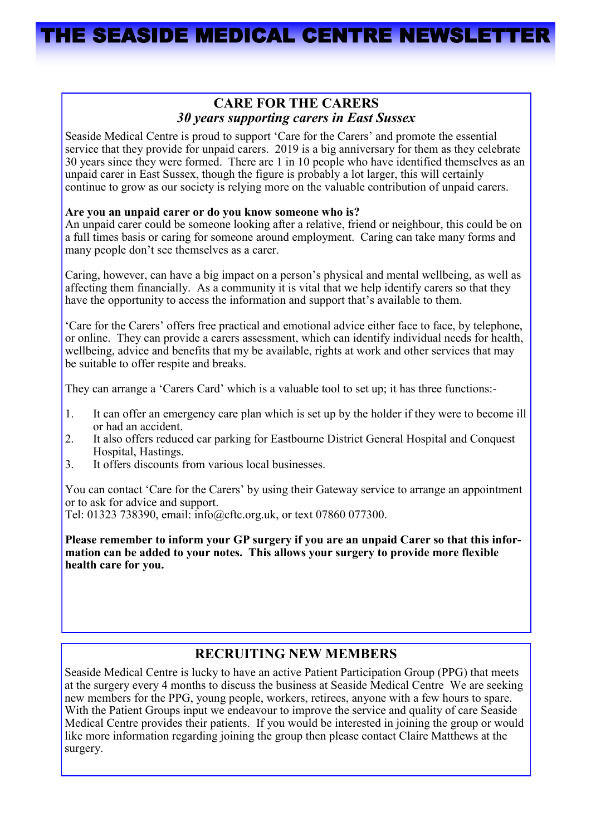### **CARE FOR THE CARERS**  *30 years supporting carers in East Sussex*

Seaside Medical Centre is proud to support 'Care for the Carers' and promote the essential service that they provide for unpaid carers. 2019 is a big anniversary for them as they celebrate 30 years since they were formed. There are 1 in 10 people who have identified themselves as an unpaid carer in East Sussex, though the figure is probably a lot larger, this will certainly continue to grow as our society is relying more on the valuable contribution of unpaid carers.

#### **Are you an unpaid carer or do you know someone who is?**

An unpaid carer could be someone looking after a relative, friend or neighbour, this could be on a full times basis or caring for someone around employment. Caring can take many forms and many people don't see themselves as a carer.

Caring, however, can have a big impact on a person's physical and mental wellbeing, as well as affecting them financially. As a community it is vital that we help identify carers so that they have the opportunity to access the information and support that's available to them.

'Care for the Carers' offers free practical and emotional advice either face to face, by telephone, or online. They can provide a carers assessment, which can identify individual needs for health, wellbeing, advice and benefits that my be available, rights at work and other services that may be suitable to offer respite and breaks.

They can arrange a 'Carers Card' which is a valuable tool to set up; it has three functions:-

- 1. It can offer an emergency care plan which is set up by the holder if they were to become ill or had an accident.
- 2. It also offers reduced car parking for Eastbourne District General Hospital and Conquest Hospital, Hastings.
- 3. It offers discounts from various local businesses.

You can contact 'Care for the Carers' by using their Gateway service to arrange an appointment or to ask for advice and support.

Tel: 01323 738390, email: info@cftc.org.uk, or text 07860 077300.

**Please remember to inform your GP surgery if you are an unpaid Carer so that this information can be added to your notes. This allows your surgery to provide more flexible health care for you.** 

# **RECRUITING NEW MEMBERS**

Seaside Medical Centre is lucky to have an active Patient Participation Group (PPG) that meets at the surgery every 4 months to discuss the business at Seaside Medical Centre We are seeking new members for the PPG, young people, workers, retirees, anyone with a few hours to spare. With the Patient Groups input we endeavour to improve the service and quality of care Seaside Medical Centre provides their patients. If you would be interested in joining the group or would like more information regarding joining the group then please contact Claire Matthews at the surgery.